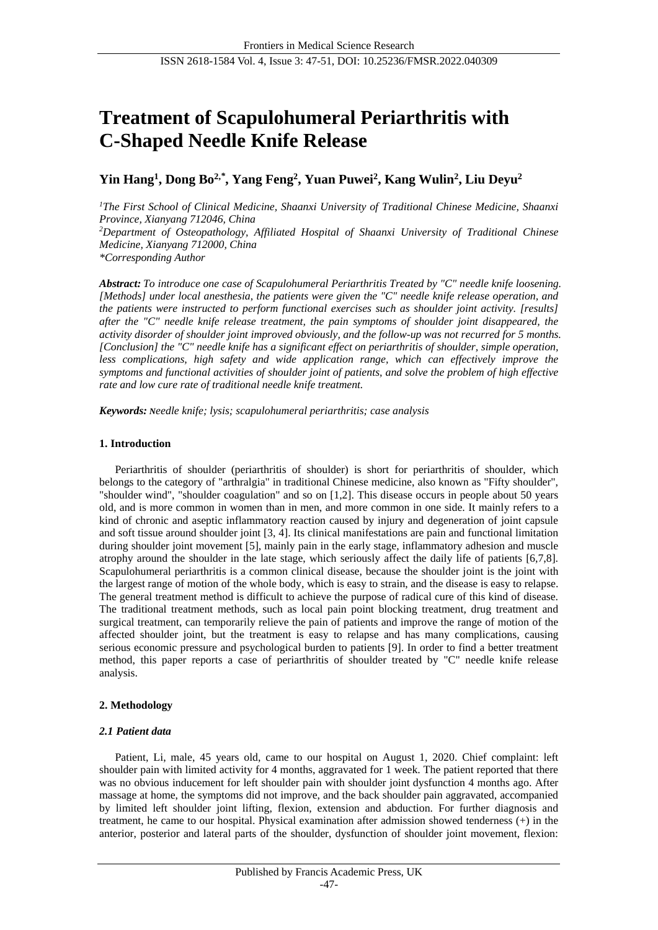# **Treatment of Scapulohumeral Periarthritis with C-Shaped Needle Knife Release**

# **Yin Hang<sup>1</sup> , Dong Bo2,***\** **, Yang Feng<sup>2</sup> , Yuan Puwei<sup>2</sup> , Kang Wulin<sup>2</sup> , Liu Deyu<sup>2</sup>**

*<sup>1</sup>The First School of Clinical Medicine, Shaanxi University of Traditional Chinese Medicine, Shaanxi Province, Xianyang 712046, China <sup>2</sup>Department of Osteopathology, Affiliated Hospital of Shaanxi University of Traditional Chinese Medicine, Xianyang 712000, China \*Corresponding Author*

*Abstract: To introduce one case of Scapulohumeral Periarthritis Treated by "C" needle knife loosening. [Methods] under local anesthesia, the patients were given the "C" needle knife release operation, and the patients were instructed to perform functional exercises such as shoulder joint activity. [results] after the "C" needle knife release treatment, the pain symptoms of shoulder joint disappeared, the activity disorder of shoulder joint improved obviously, and the follow-up was not recurred for 5 months. [Conclusion] the "C" needle knife has a significant effect on periarthritis of shoulder, simple operation, less complications, high safety and wide application range, which can effectively improve the symptoms and functional activities of shoulder joint of patients, and solve the problem of high effective rate and low cure rate of traditional needle knife treatment.*

*Keywords: Needle knife; lysis; scapulohumeral periarthritis; case analysis*

# **1. Introduction**

Periarthritis of shoulder (periarthritis of shoulder) is short for periarthritis of shoulder, which belongs to the category of "arthralgia" in traditional Chinese medicine, also known as "Fifty shoulder", "shoulder wind", "shoulder coagulation" and so on [1,2]. This disease occurs in people about 50 years old, and is more common in women than in men, and more common in one side. It mainly refers to a kind of chronic and aseptic inflammatory reaction caused by injury and degeneration of joint capsule and soft tissue around shoulder joint [3, 4]. Its clinical manifestations are pain and functional limitation during shoulder joint movement [5], mainly pain in the early stage, inflammatory adhesion and muscle atrophy around the shoulder in the late stage, which seriously affect the daily life of patients [6,7,8]. Scapulohumeral periarthritis is a common clinical disease, because the shoulder joint is the joint with the largest range of motion of the whole body, which is easy to strain, and the disease is easy to relapse. The general treatment method is difficult to achieve the purpose of radical cure of this kind of disease. The traditional treatment methods, such as local pain point blocking treatment, drug treatment and surgical treatment, can temporarily relieve the pain of patients and improve the range of motion of the affected shoulder joint, but the treatment is easy to relapse and has many complications, causing serious economic pressure and psychological burden to patients [9]. In order to find a better treatment method, this paper reports a case of periarthritis of shoulder treated by "C" needle knife release analysis.

# **2. Methodology**

# *2.1 Patient data*

Patient, Li, male, 45 years old, came to our hospital on August 1, 2020. Chief complaint: left shoulder pain with limited activity for 4 months, aggravated for 1 week. The patient reported that there was no obvious inducement for left shoulder pain with shoulder joint dysfunction 4 months ago. After massage at home, the symptoms did not improve, and the back shoulder pain aggravated, accompanied by limited left shoulder joint lifting, flexion, extension and abduction. For further diagnosis and treatment, he came to our hospital. Physical examination after admission showed tenderness (+) in the anterior, posterior and lateral parts of the shoulder, dysfunction of shoulder joint movement, flexion: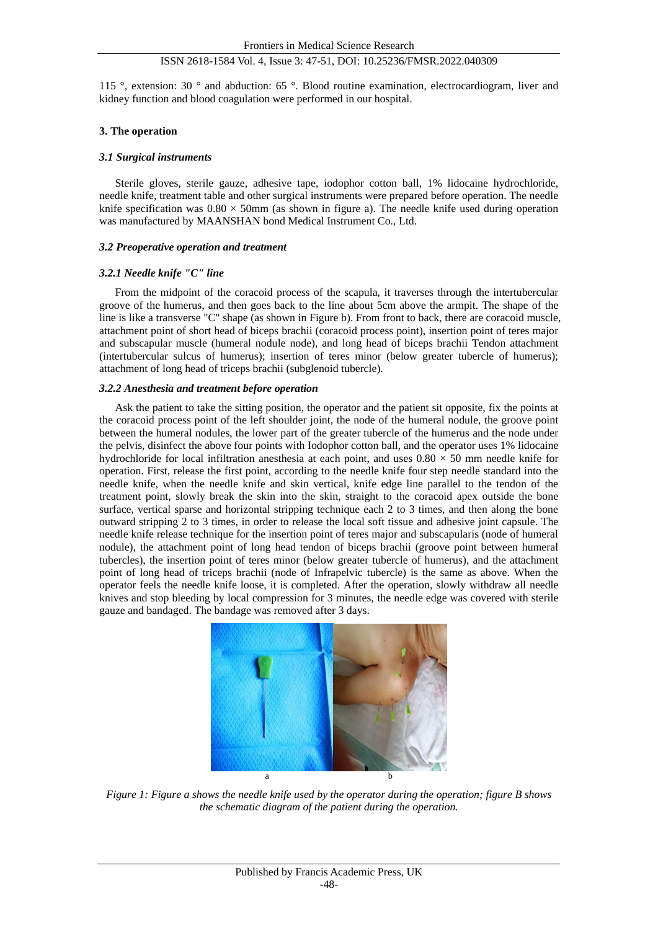115 °, extension: 30 ° and abduction: 65 °. Blood routine examination, electrocardiogram, liver and kidney function and blood coagulation were performed in our hospital.

#### **3. The operation**

#### *3.1 Surgical instruments*

Sterile gloves, sterile gauze, adhesive tape, iodophor cotton ball, 1% lidocaine hydrochloride, needle knife, treatment table and other surgical instruments were prepared before operation. The needle knife specification was  $0.80 \times 50$ mm (as shown in figure a). The needle knife used during operation was manufactured by MAANSHAN bond Medical Instrument Co., Ltd.

#### *3.2 Preoperative operation and treatment*

## *3.2.1 Needle knife "C" line*

From the midpoint of the coracoid process of the scapula, it traverses through the intertubercular groove of the humerus, and then goes back to the line about 5cm above the armpit. The shape of the line is like a transverse "C" shape (as shown in Figure b). From front to back, there are coracoid muscle, attachment point of short head of biceps brachii (coracoid process point), insertion point of teres major and subscapular muscle (humeral nodule node), and long head of biceps brachii Tendon attachment (intertubercular sulcus of humerus); insertion of teres minor (below greater tubercle of humerus); attachment of long head of triceps brachii (subglenoid tubercle).

#### *3.2.2 Anesthesia and treatment before operation*

Ask the patient to take the sitting position, the operator and the patient sit opposite, fix the points at the coracoid process point of the left shoulder joint, the node of the humeral nodule, the groove point between the humeral nodules, the lower part of the greater tubercle of the humerus and the node under the pelvis, disinfect the above four points with Iodophor cotton ball, and the operator uses 1% lidocaine hydrochloride for local infiltration anesthesia at each point, and uses  $0.80 \times 50$  mm needle knife for operation. First, release the first point, according to the needle knife four step needle standard into the needle knife, when the needle knife and skin vertical, knife edge line parallel to the tendon of the treatment point, slowly break the skin into the skin, straight to the coracoid apex outside the bone surface, vertical sparse and horizontal stripping technique each 2 to 3 times, and then along the bone outward stripping 2 to 3 times, in order to release the local soft tissue and adhesive joint capsule. The needle knife release technique for the insertion point of teres major and subscapularis (node of humeral nodule), the attachment point of long head tendon of biceps brachii (groove point between humeral tubercles), the insertion point of teres minor (below greater tubercle of humerus), and the attachment point of long head of triceps brachii (node of Infrapelvic tubercle) is the same as above. When the operator feels the needle knife loose, it is completed. After the operation, slowly withdraw all needle knives and stop bleeding by local compression for 3 minutes, the needle edge was covered with sterile gauze and bandaged. The bandage was removed after 3 days.



*Figure 1: Figure a shows the needle knife used by the operator during the operation; figure B shows the schematic diagram of the patient during the operation.*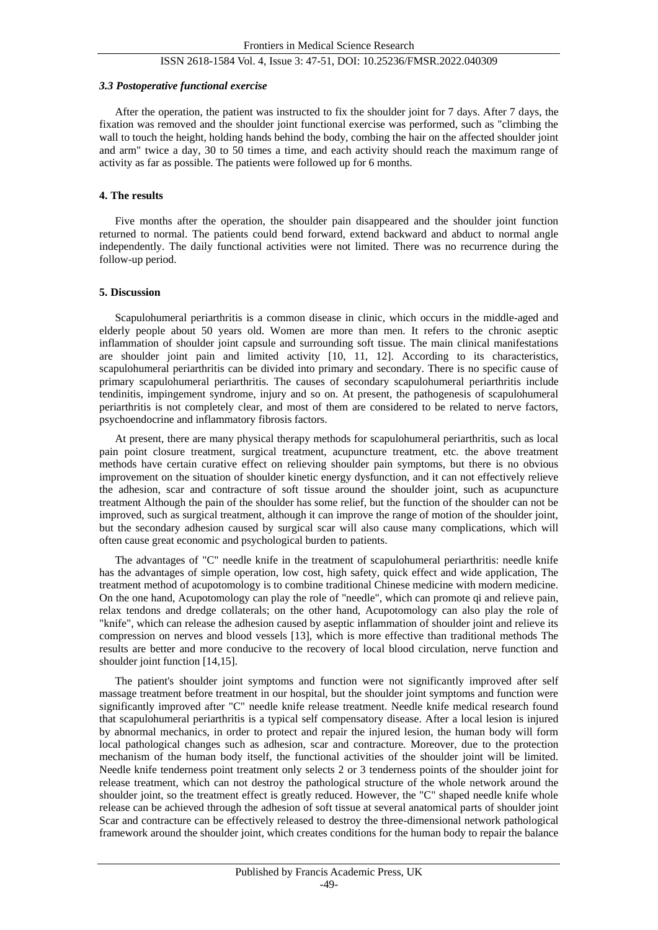#### *3.3 Postoperative functional exercise*

After the operation, the patient was instructed to fix the shoulder joint for 7 days. After 7 days, the fixation was removed and the shoulder joint functional exercise was performed, such as "climbing the wall to touch the height, holding hands behind the body, combing the hair on the affected shoulder joint and arm" twice a day, 30 to 50 times a time, and each activity should reach the maximum range of activity as far as possible. The patients were followed up for 6 months.

#### **4. The results**

Five months after the operation, the shoulder pain disappeared and the shoulder joint function returned to normal. The patients could bend forward, extend backward and abduct to normal angle independently. The daily functional activities were not limited. There was no recurrence during the follow-up period.

#### **5. Discussion**

Scapulohumeral periarthritis is a common disease in clinic, which occurs in the middle-aged and elderly people about 50 years old. Women are more than men. It refers to the chronic aseptic inflammation of shoulder joint capsule and surrounding soft tissue. The main clinical manifestations are shoulder joint pain and limited activity [10, 11, 12]. According to its characteristics, scapulohumeral periarthritis can be divided into primary and secondary. There is no specific cause of primary scapulohumeral periarthritis. The causes of secondary scapulohumeral periarthritis include tendinitis, impingement syndrome, injury and so on. At present, the pathogenesis of scapulohumeral periarthritis is not completely clear, and most of them are considered to be related to nerve factors, psychoendocrine and inflammatory fibrosis factors.

At present, there are many physical therapy methods for scapulohumeral periarthritis, such as local pain point closure treatment, surgical treatment, acupuncture treatment, etc. the above treatment methods have certain curative effect on relieving shoulder pain symptoms, but there is no obvious improvement on the situation of shoulder kinetic energy dysfunction, and it can not effectively relieve the adhesion, scar and contracture of soft tissue around the shoulder joint, such as acupuncture treatment Although the pain of the shoulder has some relief, but the function of the shoulder can not be improved, such as surgical treatment, although it can improve the range of motion of the shoulder joint, but the secondary adhesion caused by surgical scar will also cause many complications, which will often cause great economic and psychological burden to patients.

The advantages of "C" needle knife in the treatment of scapulohumeral periarthritis: needle knife has the advantages of simple operation, low cost, high safety, quick effect and wide application, The treatment method of acupotomology is to combine traditional Chinese medicine with modern medicine. On the one hand, Acupotomology can play the role of "needle", which can promote qi and relieve pain, relax tendons and dredge collaterals; on the other hand, Acupotomology can also play the role of "knife", which can release the adhesion caused by aseptic inflammation of shoulder joint and relieve its compression on nerves and blood vessels [13], which is more effective than traditional methods The results are better and more conducive to the recovery of local blood circulation, nerve function and shoulder joint function [14,15].

The patient's shoulder joint symptoms and function were not significantly improved after self massage treatment before treatment in our hospital, but the shoulder joint symptoms and function were significantly improved after "C" needle knife release treatment. Needle knife medical research found that scapulohumeral periarthritis is a typical self compensatory disease. After a local lesion is injured by abnormal mechanics, in order to protect and repair the injured lesion, the human body will form local pathological changes such as adhesion, scar and contracture. Moreover, due to the protection mechanism of the human body itself, the functional activities of the shoulder joint will be limited. Needle knife tenderness point treatment only selects 2 or 3 tenderness points of the shoulder joint for release treatment, which can not destroy the pathological structure of the whole network around the shoulder joint, so the treatment effect is greatly reduced. However, the "C" shaped needle knife whole release can be achieved through the adhesion of soft tissue at several anatomical parts of shoulder joint Scar and contracture can be effectively released to destroy the three-dimensional network pathological framework around the shoulder joint, which creates conditions for the human body to repair the balance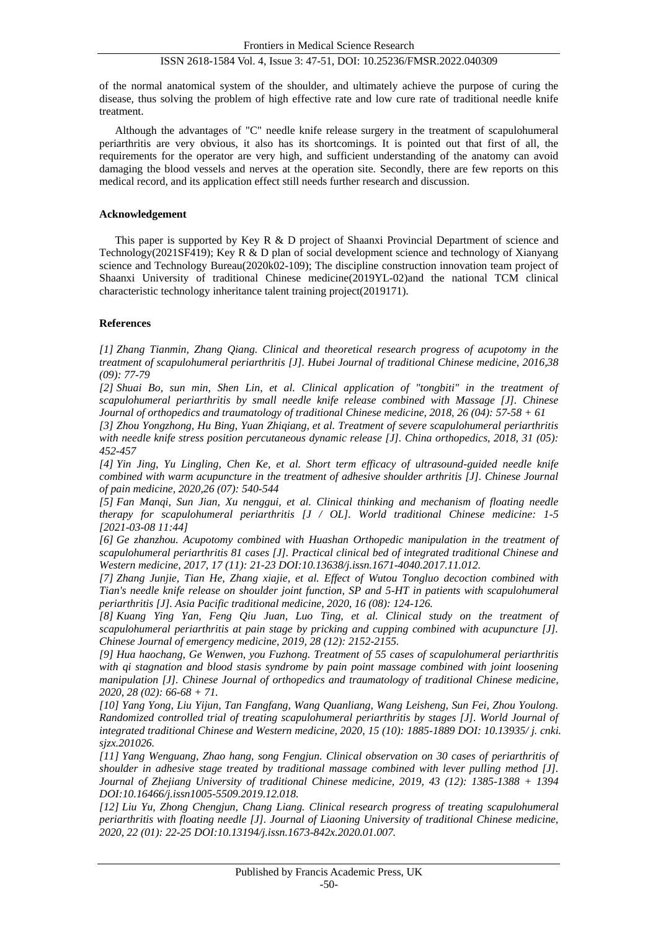of the normal anatomical system of the shoulder, and ultimately achieve the purpose of curing the disease, thus solving the problem of high effective rate and low cure rate of traditional needle knife treatment.

Although the advantages of "C" needle knife release surgery in the treatment of scapulohumeral periarthritis are very obvious, it also has its shortcomings. It is pointed out that first of all, the requirements for the operator are very high, and sufficient understanding of the anatomy can avoid damaging the blood vessels and nerves at the operation site. Secondly, there are few reports on this medical record, and its application effect still needs further research and discussion.

## **Acknowledgement**

This paper is supported by Key R & D project of Shaanxi Provincial Department of science and Technology(2021SF419); Key R & D plan of social development science and technology of Xianyang science and Technology Bureau(2020k02-109); The discipline construction innovation team project of Shaanxi University of traditional Chinese medicine(2019YL-02)and the national TCM clinical characteristic technology inheritance talent training project(2019171).

#### **References**

*[1] Zhang Tianmin, Zhang Qiang. Clinical and theoretical research progress of acupotomy in the treatment of scapulohumeral periarthritis [J]. Hubei Journal of traditional Chinese medicine, 2016,38 (09): 77-79*

*[2] Shuai Bo, sun min, Shen Lin, et al. Clinical application of "tongbiti" in the treatment of scapulohumeral periarthritis by small needle knife release combined with Massage [J]. Chinese Journal of orthopedics and traumatology of traditional Chinese medicine, 2018, 26 (04): 57-58 + 61*

*[3] Zhou Yongzhong, Hu Bing, Yuan Zhiqiang, et al. Treatment of severe scapulohumeral periarthritis with needle knife stress position percutaneous dynamic release [J]. China orthopedics, 2018, 31 (05): 452-457*

*[4] Yin Jing, Yu Lingling, Chen Ke, et al. Short term efficacy of ultrasound-guided needle knife combined with warm acupuncture in the treatment of adhesive shoulder arthritis [J]. Chinese Journal of pain medicine, 2020,26 (07): 540-544*

*[5] Fan Manqi, Sun Jian, Xu nenggui, et al. Clinical thinking and mechanism of floating needle therapy for scapulohumeral periarthritis [J / OL]. World traditional Chinese medicine: 1-5 [2021-03-08 11:44]*

*[6] Ge zhanzhou. Acupotomy combined with Huashan Orthopedic manipulation in the treatment of scapulohumeral periarthritis 81 cases [J]. Practical clinical bed of integrated traditional Chinese and Western medicine, 2017, 17 (11): 21-23 DOI:10.13638/j.issn.1671-4040.2017.11.012.*

*[7] Zhang Junjie, Tian He, Zhang xiajie, et al. Effect of Wutou Tongluo decoction combined with Tian's needle knife release on shoulder joint function, SP and 5-HT in patients with scapulohumeral periarthritis [J]. Asia Pacific traditional medicine, 2020, 16 (08): 124-126.*

*[8] Kuang Ying Yan, Feng Qiu Juan, Luo Ting, et al. Clinical study on the treatment of scapulohumeral periarthritis at pain stage by pricking and cupping combined with acupuncture [J]. Chinese Journal of emergency medicine, 2019, 28 (12): 2152-2155.*

*[9] Hua haochang, Ge Wenwen, you Fuzhong. Treatment of 55 cases of scapulohumeral periarthritis with qi stagnation and blood stasis syndrome by pain point massage combined with joint loosening manipulation [J]. Chinese Journal of orthopedics and traumatology of traditional Chinese medicine, 2020, 28 (02): 66-68 + 71.*

*[10] Yang Yong, Liu Yijun, Tan Fangfang, Wang Quanliang, Wang Leisheng, Sun Fei, Zhou Youlong. Randomized controlled trial of treating scapulohumeral periarthritis by stages [J]. World Journal of integrated traditional Chinese and Western medicine, 2020, 15 (10): 1885-1889 DOI: 10.13935/ j. cnki. sjzx.201026.*

*[11] Yang Wenguang, Zhao hang, song Fengjun. Clinical observation on 30 cases of periarthritis of shoulder in adhesive stage treated by traditional massage combined with lever pulling method [J]. Journal of Zhejiang University of traditional Chinese medicine, 2019, 43 (12): 1385-1388 + 1394 DOI:10.16466/j.issn1005-5509.2019.12.018.*

*[12] Liu Yu, Zhong Chengjun, Chang Liang. Clinical research progress of treating scapulohumeral periarthritis with floating needle [J]. Journal of Liaoning University of traditional Chinese medicine, 2020, 22 (01): 22-25 DOI:10.13194/j.issn.1673-842x.2020.01.007.*